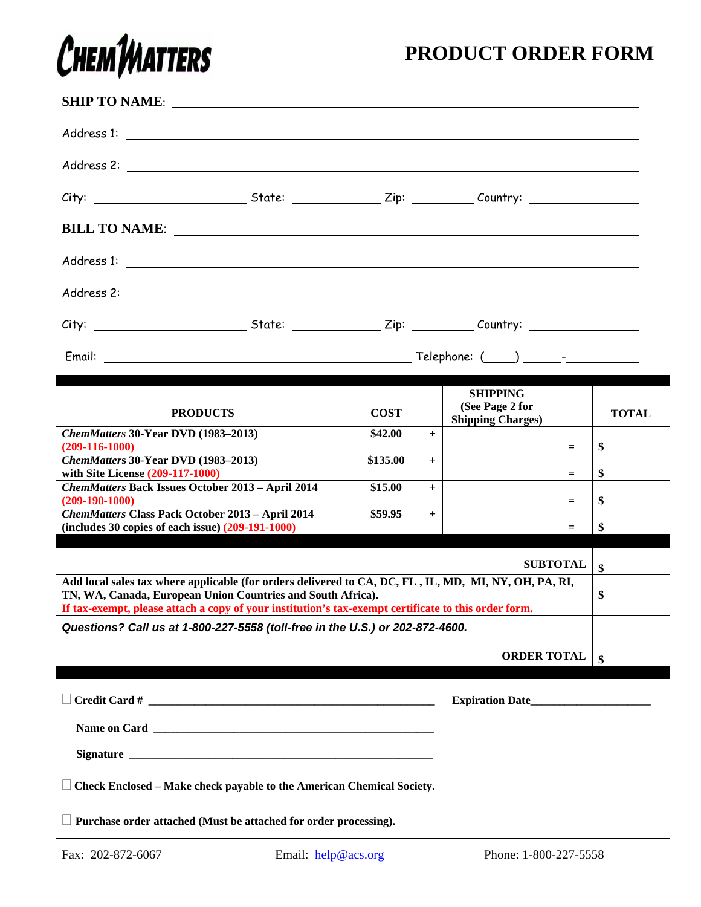## CHEMTMATTERS

## **PRODUCT ORDER FORM**

|                                                                                                                                                                                                                                                                              |                        |     | <b>SHIPPING</b><br>(See Page 2 for |                 |              |  |  |
|------------------------------------------------------------------------------------------------------------------------------------------------------------------------------------------------------------------------------------------------------------------------------|------------------------|-----|------------------------------------|-----------------|--------------|--|--|
| <b>PRODUCTS</b><br>ChemMatters 30-Year DVD (1983-2013)                                                                                                                                                                                                                       | <b>COST</b><br>\$42.00 |     | <b>Shipping Charges)</b>           |                 | <b>TOTAL</b> |  |  |
| $(209-116-1000)$                                                                                                                                                                                                                                                             |                        | $+$ |                                    | $=$             | \$           |  |  |
| ChemMatters 30-Year DVD (1983-2013)<br>with Site License (209-117-1000)                                                                                                                                                                                                      | \$135.00               | $+$ |                                    | $=$             | \$           |  |  |
| ChemMatters Back Issues October 2013 - April 2014<br>$(209-190-1000)$                                                                                                                                                                                                        | \$15.00                | $+$ |                                    | $=$             | \$           |  |  |
| <b>ChemMatters Class Pack October 2013 - April 2014</b><br>$(includes\ 30 copies\ of\ each\ issue)\ (209-191-1000)$                                                                                                                                                          | \$59.95                | $+$ |                                    | $=$             | \$           |  |  |
|                                                                                                                                                                                                                                                                              |                        |     |                                    | <b>SUBTOTAL</b> | \$           |  |  |
| Add local sales tax where applicable (for orders delivered to CA, DC, FL, IL, MD, MI, NY, OH, PA, RI,<br>TN, WA, Canada, European Union Countries and South Africa).<br>If tax-exempt, please attach a copy of your institution's tax-exempt certificate to this order form. |                        |     |                                    |                 |              |  |  |
| Questions? Call us at 1-800-227-5558 (toll-free in the U.S.) or 202-872-4600.                                                                                                                                                                                                |                        |     |                                    |                 |              |  |  |
|                                                                                                                                                                                                                                                                              |                        |     | <b>ORDER TOTAL</b>                 |                 | \$           |  |  |
|                                                                                                                                                                                                                                                                              |                        |     | Expiration Date                    |                 |              |  |  |
|                                                                                                                                                                                                                                                                              |                        |     |                                    |                 |              |  |  |
|                                                                                                                                                                                                                                                                              |                        |     |                                    |                 |              |  |  |
|                                                                                                                                                                                                                                                                              |                        |     |                                    |                 |              |  |  |
| $\Box$ Check Enclosed – Make check payable to the American Chemical Society.                                                                                                                                                                                                 |                        |     |                                    |                 |              |  |  |
| Purchase order attached (Must be attached for order processing).                                                                                                                                                                                                             |                        |     |                                    |                 |              |  |  |